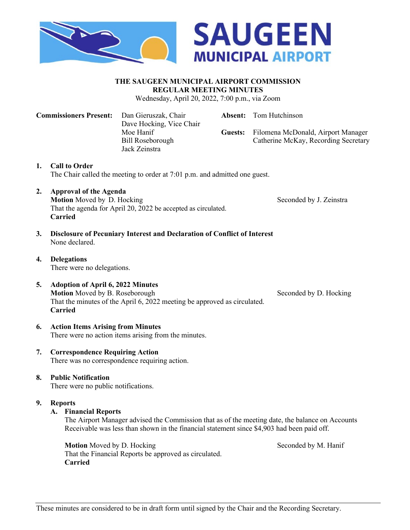



#### **THE SAUGEEN MUNICIPAL AIRPORT COMMISSION REGULAR MEETING MINUTES**

Wednesday, April 20, 2022, 7:00 p.m., via Zoom

**Commissioners Present:** Dan Gieruszak, Chair **Absent:** Tom Hutchinson Dave Hocking, Vice Chair Jack Zeinstra

Moe Hanif **Guests:** Filomena McDonald, Airport Manager Bill Roseborough Catherine McKay, Recording Secretary

**1. Call to Order** The Chair called the meeting to order at 7:01 p.m. and admitted one guest.

**2. Approval of the Agenda**

**Motion** Moved by D. Hocking Seconded by J. Zeinstra That the agenda for April 20, 2022 be accepted as circulated. **Carried**

- **3. Disclosure of Pecuniary Interest and Declaration of Conflict of Interest** None declared.
- **4. Delegations** There were no delegations.
- **5. Adoption of April 6, 2022 Minutes Motion** Moved by B. Roseborough Seconded by D. Hocking That the minutes of the April 6, 2022 meeting be approved as circulated. **Carried**
- **6. Action Items Arising from Minutes** There were no action items arising from the minutes.
- **7. Correspondence Requiring Action** There was no correspondence requiring action.

## **8. Public Notification**

There were no public notifications.

## **9. Reports**

## **A. Financial Reports**

The Airport Manager advised the Commission that as of the meeting date, the balance on Accounts Receivable was less than shown in the financial statement since \$4,903 had been paid off.

**Motion** Moved by D. Hocking Seconded by M. Hanif That the Financial Reports be approved as circulated. **Carried**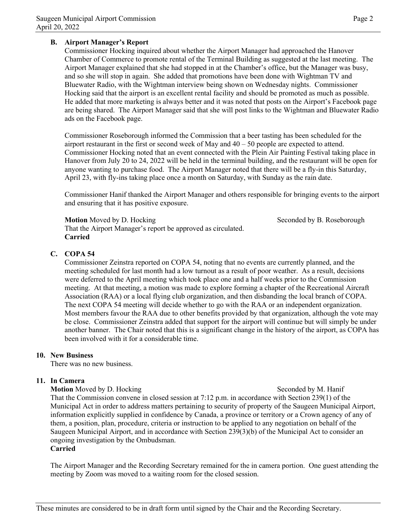#### **B. Airport Manager's Report**

Commissioner Hocking inquired about whether the Airport Manager had approached the Hanover Chamber of Commerce to promote rental of the Terminal Building as suggested at the last meeting. The Airport Manager explained that she had stopped in at the Chamber's office, but the Manager was busy, and so she will stop in again. She added that promotions have been done with Wightman TV and Bluewater Radio, with the Wightman interview being shown on Wednesday nights. Commissioner Hocking said that the airport is an excellent rental facility and should be promoted as much as possible. He added that more marketing is always better and it was noted that posts on the Airport's Facebook page are being shared. The Airport Manager said that she will post links to the Wightman and Bluewater Radio ads on the Facebook page.

Commissioner Roseborough informed the Commission that a beer tasting has been scheduled for the airport restaurant in the first or second week of May and 40 – 50 people are expected to attend. Commissioner Hocking noted that an event connected with the Plein Air Painting Festival taking place in Hanover from July 20 to 24, 2022 will be held in the terminal building, and the restaurant will be open for anyone wanting to purchase food. The Airport Manager noted that there will be a fly-in this Saturday, April 23, with fly-ins taking place once a month on Saturday, with Sunday as the rain date.

Commissioner Hanif thanked the Airport Manager and others responsible for bringing events to the airport and ensuring that it has positive exposure.

**Motion** Moved by D. Hocking Seconded by B. Roseborough

That the Airport Manager's report be approved as circulated. **Carried**

## **C. COPA 54**

Commissioner Zeinstra reported on COPA 54, noting that no events are currently planned, and the meeting scheduled for last month had a low turnout as a result of poor weather. As a result, decisions were deferred to the April meeting which took place one and a half weeks prior to the Commission meeting. At that meeting, a motion was made to explore forming a chapter of the Recreational Aircraft Association (RAA) or a local flying club organization, and then disbanding the local branch of COPA. The next COPA 54 meeting will decide whether to go with the RAA or an independent organization. Most members favour the RAA due to other benefits provided by that organization, although the vote may be close. Commissioner Zeinstra added that support for the airport will continue but will simply be under another banner. The Chair noted that this is a significant change in the history of the airport, as COPA has been involved with it for a considerable time.

## **10. New Business**

There was no new business.

#### **11. In Camera**

**Motion** Moved by D. Hocking Seconded by M. Hanif

That the Commission convene in closed session at 7:12 p.m. in accordance with Section 239(1) of the Municipal Act in order to address matters pertaining to security of property of the Saugeen Municipal Airport, information explicitly supplied in confidence by Canada, a province or territory or a Crown agency of any of them, a position, plan, procedure, criteria or instruction to be applied to any negotiation on behalf of the Saugeen Municipal Airport, and in accordance with Section 239(3)(b) of the Municipal Act to consider an ongoing investigation by the Ombudsman. **Carried**

The Airport Manager and the Recording Secretary remained for the in camera portion. One guest attending the meeting by Zoom was moved to a waiting room for the closed session.